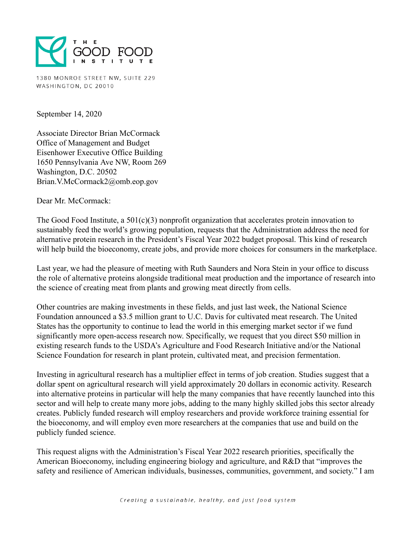

1380 MONROE STREET NW, SUITE 229 WASHINGTON, DC 20010

September 14, 2020

Associate Director Brian McCormack Office of Management and Budget Eisenhower Executive Office Building 1650 Pennsylvania Ave NW, Room 269 Washington, D.C. 20502 Brian.V.McCormack2@omb.eop.gov

Dear Mr. McCormack:

The Good Food Institute, a  $501(c)(3)$  nonprofit organization that accelerates protein innovation to sustainably feed the world's growing population, requests that the Administration address the need for alternative protein research in the President's Fiscal Year 2022 budget proposal. This kind of research will help build the bioeconomy, create jobs, and provide more choices for consumers in the marketplace.

Last year, we had the pleasure of meeting with Ruth Saunders and Nora Stein in your office to discuss the role of alternative proteins alongside traditional meat production and the importance of research into the science of creating meat from plants and growing meat directly from cells.

Other countries are making investments in these fields, and just last week, the National Science Foundation announced a \$3.5 million grant to U.C. Davis for cultivated meat research. The United States has the opportunity to continue to lead the world in this emerging market sector if we fund significantly more open-access research now. Specifically, we request that you direct \$50 million in existing research funds to the USDA's Agriculture and Food Research Initiative and/or the National Science Foundation for research in plant protein, cultivated meat, and precision fermentation.

Investing in agricultural research has a multiplier effect in terms of job creation. Studies suggest that a dollar spent on agricultural research will yield approximately 20 dollars in economic activity. Research into alternative proteins in particular will help the many companies that have recently launched into this sector and will help to create many more jobs, adding to the many highly skilled jobs this sector already creates. Publicly funded research will employ researchers and provide workforce training essential for the bioeconomy, and will employ even more researchers at the companies that use and build on the publicly funded science.

This request aligns with the Administration's Fiscal Year 2022 research priorities, specifically the American Bioeconomy, including engineering biology and agriculture, and R&D that "improves the safety and resilience of American individuals, businesses, communities, government, and society." I am